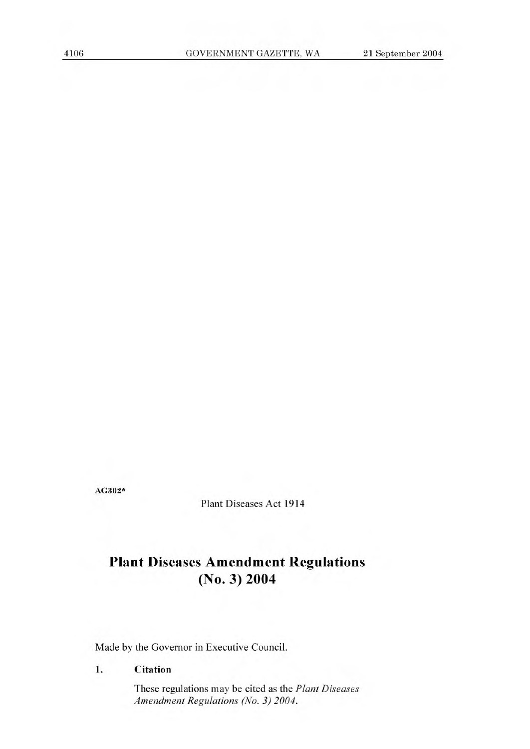AG302\*

Plant Diseases Act 1914

## **Plant Diseases Amendment Regulations (No. 3) 2004**

Made by the Governor in Executive Council.

## **1. Citation**

These regulations may be cited as the *Plant Diseases Amendment Regulations (NO. 3) 2004.*